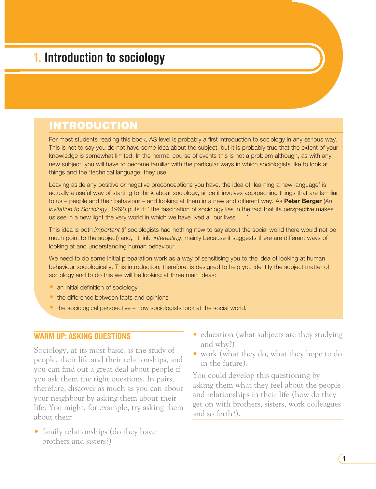### **1. Introduction to sociology**

### **INTRODUCTION**

For most students reading this book, AS level is probably a first introduction to sociology in any serious way. This is not to say you do not have some idea about the subject, but it is probably true that the extent of your knowledge is somewhat limited. In the normal course of events this is not a problem although, as with any new subject, you will have to become familiar with the particular ways in which sociologists like to look at things and the 'technical language' they use.

Leaving aside any positive or negative preconceptions you have, the idea of 'learning a new language' is actually a useful way of starting to think about sociology, since it involves approaching things that are familiar to us – people and their behaviour – and looking at them in a new and different way. As **Peter Berger** (*An Invitation to Sociology*, 1962) puts it: 'The fascination of sociology lies in the fact that its perspective makes us see in a new light the very world in which we have lived all our lives . . . '.

This idea is both *important* (if sociologists had nothing new to say about the social world there would not be much point to the subject) and, I think, *interesting*, mainly because it suggests there are different ways of looking at and understanding human behaviour.

We need to do some initial preparation work as a way of sensitising you to the idea of looking at human behaviour sociologically. This introduction, therefore, is designed to help you identify the subject matter of sociology and to do this we will be looking at three main ideas:

- an initial definition of sociology
- **•** the difference between facts and opinions
- **•** the sociological perspective how sociologists look at the social world.

#### **WARM UP: ASKING QUESTIONS**

Sociology, at its most basic, is the study of people, their life and their relationships, and you can find out a great deal about people if you ask them the right questions. In pairs, therefore, discover as much as you can about your neighbour by asking them about their life. You might, for example, try asking them about their:

**•** family relationships (do they have brothers and sisters?)

- **•** education (what subjects are they studying and why?)
- **•** work (what they do, what they hope to do in the future).

You could develop this questioning by asking them what they feel about the people and relationships in their life (how do they get on with brothers, sisters, work colleagues and so forth?).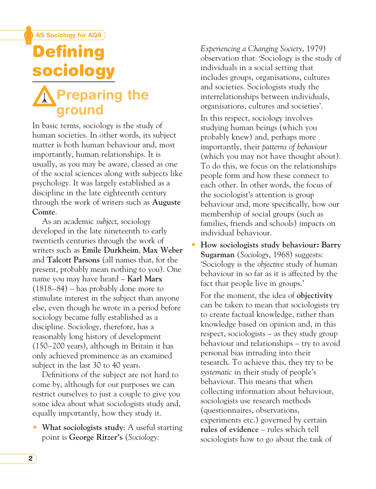



In basic terms, sociology is the study of human societies. In other words, its subject matter is both human behaviour and, most importantly, human relationships. It is usually, as you may be aware, classed as one of the social sciences along with subjects like psychology. It was largely established as a discipline in the late eighteenth century through the work of writers such as **Auguste Comte**.

As an academic *subject*, sociology developed in the late nineteenth to early twentieth centuries through the work of writers such as **Emile Durkheim**, **Max Weber** and **Talcott Parsons** (all names that, for the present, probably mean nothing to you). One name you may have heard – **Karl Marx** (1818–84) – has probably done more to stimulate interest in the subject than anyone else, even though he wrote in a period before sociology became fully established as a discipline. Sociology, therefore, has a reasonably long history of development (150–200 years), although in Britain it has only achieved prominence as an examined subject in the last 30 to 40 years.

Definitions of the subject are not hard to come by, although for our purposes we can restrict ourselves to just a couple to give you some idea about what sociologists study and, equally importantly, how they study it.

**• What sociologists study**: A useful starting point is **George Ritzer's** (*Sociology:*

*Experiencing a Changing Society*, 1979) observation that: 'Sociology is the study of individuals in a social setting that includes groups, organisations, cultures and societies. Sociologists study the interrelationships between individuals, organisations, cultures and societies'.

In this respect, sociology involves studying human beings (which you probably knew) and, perhaps more importantly, their *patterns of behaviour* (which you may not have thought about). To do this, we focus on the relationships people form and how these connect to each other. In other words, the focus of the sociologist's attention is group behaviour and, more specifically, how our membership of social groups (such as families, friends and schools) impacts on individual behaviour.

**• How sociologists study behaviour: Barry Sugarman** (*Sociology*, 1968) suggests: 'Sociology is the *objective* study of human behaviour in so far as it is affected by the fact that people live in groups.'

For the moment, the idea of **objectivity** can be taken to mean that sociologists try to create factual knowledge, rather than knowledge based on opinion and, in this respect, sociologists – as they study group behaviour and relationships – try to avoid personal bias intruding into their research. To achieve this, they try to be *systematic* in their study of people's behaviour. This means that when collecting information about behaviour, sociologists use research methods (questionnaires, observations, experiments etc.) governed by certain **rules of evidence** – rules which tell sociologists how to go about the task of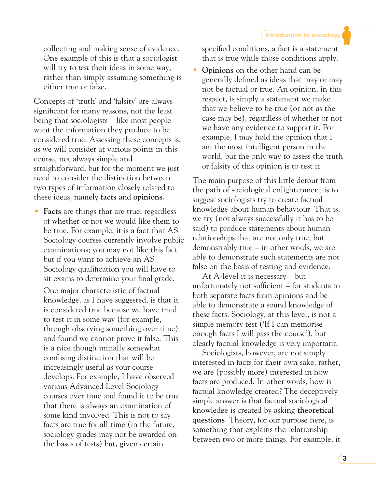collecting and making sense of evidence. One example of this is that a sociologist will try to *test* their ideas in some way, rather than simply assuming something is either true or false.

Concepts of 'truth' and 'falsity' are always significant for many reasons, not the least being that sociologists – like most people – want the information they produce to be considered true. Assessing these concepts is, as we will consider at various points in this course, not always simple and straightforward, but for the moment we just need to consider the distinction between two types of information closely related to these ideas, namely **facts** and **opinions**.

**• Facts** are things that are true, regardless of whether or not we would like them to be true. For example, it is a fact that AS Sociology courses currently involve public examinations; you may not like this fact but if you want to achieve an AS Sociology qualification you will have to sit exams to determine your final grade.

One major characteristic of factual knowledge, as I have suggested, is that it is considered true because we have tried to test it in some way (for example, through observing something over time) and found we cannot prove it false. This is a nice though initially somewhat confusing distinction that will be increasingly useful as your course develops. For example, I have observed various Advanced Level Sociology courses over time and found it to be true that there is always an examination of some kind involved. This is not to say facts are true for all time (in the future, sociology grades may not be awarded on the bases of tests) but, given certain

specified conditions, a fact is a statement that is true while those conditions apply.

**• Opinions** on the other hand can be generally defined as ideas that may or may not be factual or true. An opinion, in this respect, is simply a statement we make that we believe to be true (or not as the case may be), regardless of whether or not we have any evidence to support it. For example, I may hold the opinion that I am the most intelligent person in the world, but the only way to assess the truth or falsity of this opinion is to test it.

The main purpose of this little detour from the path of sociological enlightenment is to suggest sociologists try to create factual knowledge about human behaviour. That is, we try (not always successfully it has to be said) to produce statements about human relationships that are not only true, but demonstrably true – in other words, we are able to demonstrate such statements are not false on the basis of testing and evidence.

At A-level it is necessary – but unfortunately not sufficient – for students to both separate facts from opinions and be able to demonstrate a sound knowledge of these facts. Sociology, at this level, is not a simple memory test ('If I can memorise enough facts I will pass the course'), but clearly factual knowledge is very important.

Sociologists, however, are not simply interested in facts for their own sake; rather, we are (possibly more) interested in how facts are produced. In other words, how is factual knowledge created? The deceptively simple answer is that factual sociological knowledge is created by asking **theoretical questions**. Theory, for our purpose here, is something that explains the relationship between two or more things. For example, it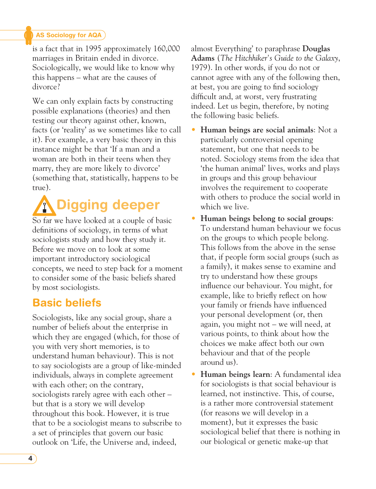is a fact that in 1995 approximately 160,000 marriages in Britain ended in divorce. Sociologically, we would like to know why this happens – what are the causes of divorce?

We can only explain facts by constructing possible explanations (theories) and then testing our theory against other, known, facts (or 'reality' as we sometimes like to call it). For example, a very basic theory in this instance might be that 'If a man and a woman are both in their teens when they marry, they are more likely to divorce' (something that, statistically, happens to be true).

# **Digging deeper**

So far we have looked at a couple of basic definitions of sociology, in terms of what sociologists study and how they study it. Before we move on to look at some important introductory sociological concepts, we need to step back for a moment to consider some of the basic beliefs shared by most sociologists.

### **Basic beliefs**

Sociologists, like any social group, share a number of beliefs about the enterprise in which they are engaged (which, for those of you with very short memories, is to understand human behaviour). This is not to say sociologists are a group of like-minded individuals, always in complete agreement with each other; on the contrary, sociologists rarely agree with each other – but that is a story we will develop throughout this book. However, it is true that to be a sociologist means to subscribe to a set of principles that govern our basic outlook on 'Life, the Universe and, indeed,

almost Everything' to paraphrase **Douglas Adams** (*The Hitchhiker's Guide to the Galaxy*, 1979). In other words, if you do not or cannot agree with any of the following then, at best, you are going to find sociology difficult and, at worst, very frustrating indeed. Let us begin, therefore, by noting the following basic beliefs.

- **• Human beings are social animals**: Not a particularly controversial opening statement, but one that needs to be noted. Sociology stems from the idea that 'the human animal' lives, works and plays in groups and this group behaviour involves the requirement to cooperate with others to produce the social world in which we live.
- **• Human beings belong to social groups**: To understand human behaviour we focus on the groups to which people belong. This follows from the above in the sense that, if people form social groups (such as a family), it makes sense to examine and try to understand how these groups influence our behaviour. You might, for example, like to briefly reflect on how your family or friends have influenced your personal development (or, then again, you might not – we will need, at various points, to think about how the choices we make affect both our own behaviour and that of the people around us).
- **• Human beings learn**: A fundamental idea for sociologists is that social behaviour is learned, not instinctive. This, of course, is a rather more controversial statement (for reasons we will develop in a moment), but it expresses the basic sociological belief that there is nothing in our biological or genetic make-up that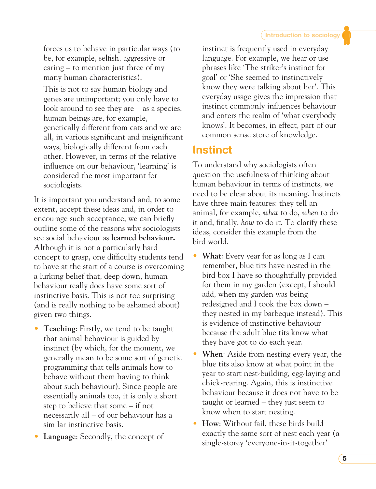forces us to behave in particular ways (to be, for example, selfish, aggressive or caring – to mention just three of my many human characteristics).

This is not to say human biology and genes are unimportant; you only have to look around to see they are – as a species, human beings are, for example, genetically different from cats and we are all, in various significant and insignificant ways, biologically different from each other. However, in terms of the relative influence on our behaviour, 'learning' is considered the most important for sociologists.

It is important you understand and, to some extent, accept these ideas and, in order to encourage such acceptance, we can briefly outline some of the reasons why sociologists see social behaviour as **learned behaviour.** Although it is not a particularly hard concept to grasp, one difficulty students tend to have at the start of a course is overcoming a lurking belief that, deep down, human behaviour really does have some sort of instinctive basis. This is not too surprising (and is really nothing to be ashamed about) given two things.

- **• Teaching**: Firstly, we tend to be taught that animal behaviour is guided by instinct (by which, for the moment, we generally mean to be some sort of genetic programming that tells animals how to behave without them having to think about such behaviour). Since people are essentially animals too, it is only a short step to believe that some – if not necessarily all – of our behaviour has a similar instinctive basis.
- **• Language**: Secondly, the concept of

instinct is frequently used in everyday language. For example, we hear or use phrases like 'The striker's instinct for goal' or 'She seemed to instinctively know they were talking about her'. This everyday usage gives the impression that instinct commonly influences behaviour and enters the realm of 'what everybody knows'. It becomes, in effect, part of our common sense store of knowledge.

### **Instinct**

To understand why sociologists often question the usefulness of thinking about human behaviour in terms of instincts, we need to be clear about its meaning. Instincts have three main features: they tell an animal, for example, *what* to do, *when* to do it and, finally, *how* to do it. To clarify these ideas, consider this example from the bird world.

- **• What**: Every year for as long as I can remember, blue tits have nested in the bird box I have so thoughtfully provided for them in my garden (except, I should add, when my garden was being redesigned and I took the box down – they nested in my barbeque instead). This is evidence of instinctive behaviour because the adult blue tits know what they have got to do each year.
- **• When**: Aside from nesting every year, the blue tits also know at what point in the year to start nest-building, egg-laying and chick-rearing. Again, this is instinctive behaviour because it does not have to be taught or learned – they just seem to know when to start nesting.
- **• How**: Without fail, these birds build exactly the same sort of nest each year (a single-storey 'everyone-in-it-together'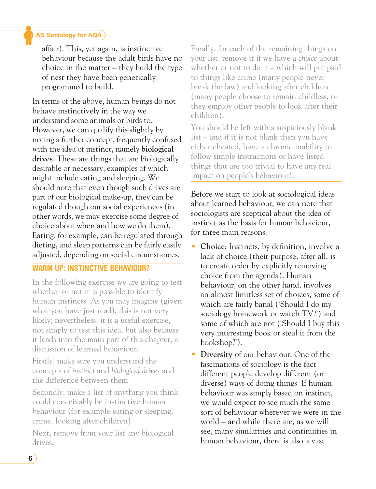affair). This, yet again, is instinctive behaviour because the adult birds have no choice in the matter – they build the type of nest they have been genetically programmed to build.

In terms of the above, human beings do not behave instinctively in the way we understand some animals or birds to. However, we can qualify this slightly by noting a further concept, frequently confused with the idea of instinct, namely **biological drives**. These are things that are biologically desirable or necessary, examples of which might include eating and sleeping. We should note that even though such drives are part of our biological make-up, they can be regulated though our social experiences (in other words, we may exercise some degree of choice about when and how we do them). Eating, for example, can be regulated through dieting, and sleep patterns can be fairly easily adjusted, depending on social circumstances.

### **WARM UP: INSTINCTIVE BEHAVIOUR?**

In the following exercise we are going to test whether or not it is possible to identify human instincts. As you may imagine (given what you have just read), this is not very likely; nevertheless, it is a useful exercise, not simply to test this idea, but also because it leads into the main part of this chapter, a discussion of learned behaviour.

Firstly, make sure you understand the concepts of *instinct* and *biological drives* and the difference between them.

Secondly, make a list of anything you think could conceivably be instinctive human behaviour (for example eating or sleeping, crime, looking after children).

Next, remove from your list any biological drives.

Finally, for each of the remaining things on your list, remove it if we have a *choice* about whether or not to do it – which will put paid to things like crime (many people never break the law) and looking after children (many people choose to remain childless, or they employ other people to look after their children).

You should be left with a suspiciously blank list – and if it is not blank then you have either cheated, have a chronic inability to follow simple instructions or have listed things that are too trivial to have any real impact on people's behaviour).

Before we start to look at sociological ideas about learned behaviour, we can note that sociologists are sceptical about the idea of instinct as the basis for human behaviour, for three main reasons.

- **• Choice**: Instincts, by definition, involve a lack of choice (their purpose, after all, is to create order by explicitly removing choice from the agenda). Human behaviour, on the other hand, involves an almost limitless set of choices, some of which are fairly banal ('Should I do my sociology homework or watch TV?') and some of which are not ('Should I buy this very interesting book or steal it from the bookshop?').
- **• Diversity** of our behaviour: One of the fascinations of sociology is the fact different people develop different (or diverse) ways of doing things. If human behaviour was simply based on instinct, we would expect to see much the same sort of behaviour wherever we were in the world – and while there are, as we will see, many similarities and continuities in human behaviour, there is also a vast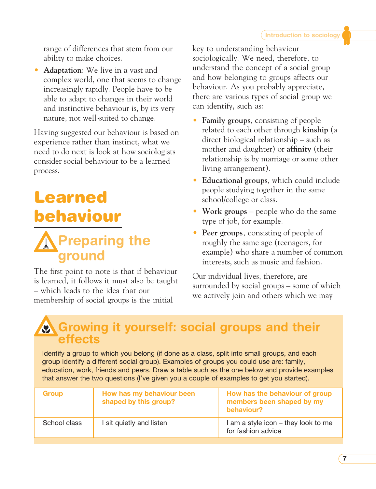range of differences that stem from our ability to make choices.

**• Adaptation**: We live in a vast and complex world, one that seems to change increasingly rapidly. People have to be able to adapt to changes in their world and instinctive behaviour is, by its very nature, not well-suited to change.

Having suggested our behaviour is based on experience rather than instinct, what we need to do next is look at how sociologists consider social behaviour to be a learned process.

# **Learned behaviour**



The first point to note is that if behaviour is learned, it follows it must also be taught – which leads to the idea that our membership of social groups is the initial

key to understanding behaviour sociologically. We need, therefore, to understand the concept of a social group and how belonging to groups affects our behaviour. As you probably appreciate, there are various types of social group we can identify, such as:

- **• Family groups**, consisting of people related to each other through **kinship** (a direct biological relationship – such as mother and daughter) or **affinity** (their relationship is by marriage or some other living arrangement).
- **• Educational groups**, which could include people studying together in the same school/college or class.
- **• Work groups** people who do the same type of job, for example.
- **• Peer groups***,* consisting of people of roughly the same age (teenagers, for example) who share a number of common interests, such as music and fashion.

Our individual lives, therefore, are surrounded by social groups – some of which we actively join and others which we may

## **Growing it yourself: social groups and their effects**

Identify a group to which you belong (if done as a class, split into small groups, and each group identify a different social group). Examples of groups you could use are: family, education, work, friends and peers. Draw a table such as the one below and provide examples that answer the two questions (I've given you a couple of examples to get you started).

| <b>Group</b> | How has my behaviour been<br>shaped by this group? | How has the behaviour of group<br>members been shaped by my<br>behaviour? |
|--------------|----------------------------------------------------|---------------------------------------------------------------------------|
| School class | I sit quietly and listen                           | I am a style icon – they look to me<br>for fashion advice                 |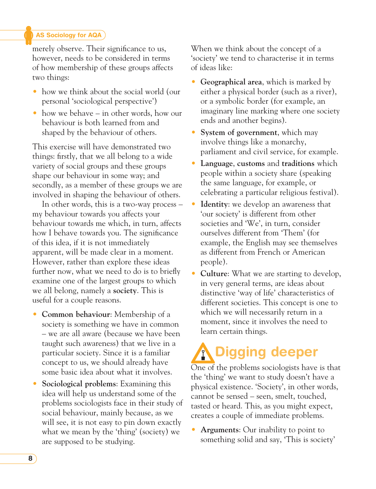merely observe. Their significance to us, however, needs to be considered in terms of how membership of these groups affects two things:

- how we think about the social world (our personal 'sociological perspective')
- how we behave in other words, how our behaviour is both learned from and shaped by the behaviour of others.

This exercise will have demonstrated two things: firstly, that we all belong to a wide variety of social groups and these groups shape our behaviour in some way; and secondly, as a member of these groups we are involved in shaping the behaviour of others.

In other words, this is a two-way process – my behaviour towards you affects your behaviour towards me which, in turn, affects how I behave towards you. The significance of this idea, if it is not immediately apparent, will be made clear in a moment. However, rather than explore these ideas further now, what we need to do is to briefly examine one of the largest groups to which we all belong, namely a **society**. This is useful for a couple reasons.

- **• Common behaviour**: Membership of a society is something we have in common – we are all aware (because we have been taught such awareness) that we live in a particular society. Since it is a familiar concept to us, we should already have some basic idea about what it involves.
- **• Sociological problems**: Examining this idea will help us understand some of the problems sociologists face in their study of social behaviour, mainly because, as we will see, it is not easy to pin down exactly what we mean by the 'thing' (society) we are supposed to be studying.

When we think about the concept of a 'society' we tend to characterise it in terms of ideas like:

- **• Geographical area**, which is marked by either a physical border (such as a river), or a symbolic border (for example, an imaginary line marking where one society ends and another begins).
- **• System of government**, which may involve things like a monarchy, parliament and civil service, for example.
- **• Language**, **customs** and **traditions** which people within a society share (speaking the same language, for example, or celebrating a particular religious festival).
- **• Identity**: we develop an awareness that 'our society' is different from other societies and 'We', in turn, consider ourselves different from 'Them' (for example, the English may see themselves as different from French or American people).
- **• Culture**: What we are starting to develop, in very general terms, are ideas about distinctive 'way of life' characteristics of different societies. This concept is one to which we will necessarily return in a moment, since it involves the need to learn certain things.

# **Digging deeper**

One of the problems sociologists have is that the 'thing' we want to study doesn't have a physical existence. 'Society', in other words, cannot be sensed – seen, smelt, touched, tasted or heard. This, as you might expect, creates a couple of immediate problems.

**• Arguments**: Our inability to point to something solid and say, 'This is society'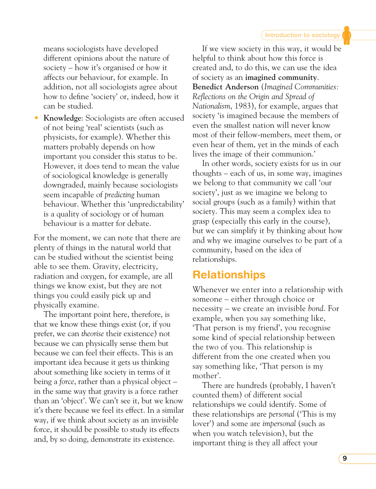means sociologists have developed different opinions about the nature of society – how it's organised or how it affects our behaviour, for example. In addition, not all sociologists agree about how to define 'society' or, indeed, how it can be studied.

**• Knowledge**: Sociologists are often accused of not being 'real' scientists (such as physicists, for example). Whether this matters probably depends on how important you consider this status to be. However, it does tend to mean the value of sociological knowledge is generally downgraded, mainly because sociologists seem incapable of *predicting* human behaviour. Whether this 'unpredictability' is a quality of sociology or of human behaviour is a matter for debate.

For the moment, we can note that there are plenty of things in the natural world that can be studied without the scientist being able to see them. Gravity, electricity, radiation and oxygen, for example, are all things we know exist, but they are not things you could easily pick up and physically examine.

The important point here, therefore, is that we know these things exist (or, if you prefer, we can *theorise* their existence) not because we can physically sense them but because we can feel their effects. This is an important idea because it gets us thinking about something like society in terms of it being a *force*, rather than a physical object – in the same way that gravity is a force rather than an 'object'. We can't see it, but we know it's there because we feel its effect. In a similar way, if we think about society as an invisible force, it should be possible to study its effects and, by so doing, demonstrate its existence.

If we view society in this way, it would be helpful to think about how this force is created and, to do this, we can use the idea of society as an **imagined community**. **Benedict Anderson** (*Imagined Communities: Reflections on the Origin and Spread of Nationalism*, 1983), for example, argues that society 'is imagined because the members of even the smallest nation will never know most of their fellow-members, meet them, or even hear of them, yet in the minds of each lives the image of their communion.'

In other words, society exists for us in our thoughts – each of us, in some way, imagines we belong to that community we call 'our society', just as we imagine we belong to social groups (such as a family) within that society. This may seem a complex idea to grasp (especially this early in the course), but we can simplify it by thinking about how and why we imagine ourselves to be part of a community, based on the idea of relationships.

### **Relationships**

Whenever we enter into a relationship with someone – either through choice or necessity – we create an invisible *bond*. For example, when you say something like, 'That person is my friend', you recognise some kind of special relationship between the two of you. This relationship is different from the one created when you say something like, 'That person is my mother'.

There are hundreds (probably, I haven't counted them) of different social relationships we could identify. Some of these relationships are *personal* ('This is my lover') and some are *impersonal* (such as when you watch television), but the important thing is they all affect your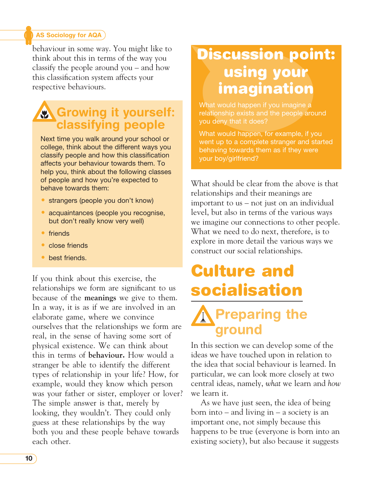behaviour in some way. You might like to think about this in terms of the way you classify the people around you – and how this classification system affects your respective behaviours.

### **Growing it yourself: classifying people**

Next time you walk around your school or college, think about the different ways you classify people and how this classification affects your behaviour towards them. To help you, think about the following classes of people and how you're expected to behave towards them:

- **•** strangers (people you don't know)
- **•** acquaintances (people you recognise, but don't really know very well)
- **•** friends
- **•** close friends
- **•** best friends

If you think about this exercise, the relationships we form are significant to us because of the **meanings** we give to them. In a way, it is as if we are involved in an elaborate game, where we convince ourselves that the relationships we form are real, in the sense of having some sort of physical existence. We can think about this in terms of **behaviour.** How would a stranger be able to identify the different types of relationship in your life? How, for example, would they know which person was your father or sister, employer or lover? The simple answer is that, merely by looking, they wouldn't. They could only guess at these relationships by the way both you and these people behave towards each other.

## **Discussion point: using your imagination**

What would happen if you imagine a relationship exists and the people around you deny that it does?

What would happen, for example, if you went up to a complete stranger and started behaving towards them as if they were your boy/girlfriend?

What should be clear from the above is that relationships and their meanings are important to us – not just on an individual level, but also in terms of the various ways we imagine our connections to other people. What we need to do next, therefore, is to explore in more detail the various ways we construct our social relationships.

## **Culture and socialisation**

## **The Preparing the ground**

In this section we can develop some of the ideas we have touched upon in relation to the idea that social behaviour is learned. In particular, we can look more closely at two central ideas, namely, *what* we learn and *how* we learn it.

As we have just seen, the idea of being born into  $-$  and living in  $-$  a society is an important one, not simply because this happens to be true (everyone is born into an existing society), but also because it suggests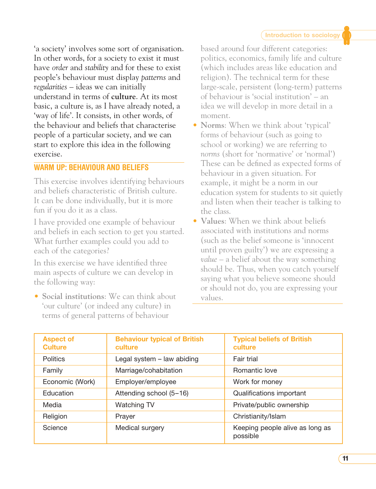'a society' involves some sort of organisation. In other words, for a society to exist it must have *order* and *stability* and for these to exist people's behaviour must display *patterns* and *regularities* – ideas we can initially understand in terms of **culture**. At its most basic, a culture is, as I have already noted, a 'way of life'. It consists, in other words, of the behaviour and beliefs that characterise people of a particular society, and we can start to explore this idea in the following exercise.

### **WARM UP: BEHAVIOUR AND BELIEFS**

This exercise involves identifying behaviours and beliefs characteristic of British culture. It can be done individually, but it is more fun if you do it as a class.

I have provided one example of behaviour and beliefs in each section to get you started. What further examples could you add to each of the categories?

In this exercise we have identified three main aspects of culture we can develop in the following way:

**• Social institutions**: We can think about 'our culture' (or indeed any culture) in terms of general patterns of behaviour

based around four different categories: politics, economics, family life and culture (which includes areas like education and religion). The technical term for these large-scale, persistent (long-term) patterns of behaviour is 'social institution' – an idea we will develop in more detail in a moment.

- **• Norms**: When we think about 'typical' forms of behaviour (such as going to school or working) we are referring to *norms* (short for 'normative' or 'normal') These can be defined as expected forms of behaviour in a given situation. For example, it might be a norm in our education system for students to sit quietly and listen when their teacher is talking to the class.
- **• Values**: When we think about beliefs associated with institutions and norms (such as the belief someone is 'innocent until proven guilty') we are expressing a *value* – a belief about the way something should be. Thus, when you catch yourself saying what you believe someone should or should not do, you are expressing your values.

| <b>Aspect of</b><br><b>Culture</b> | <b>Behaviour typical of British</b><br>culture | <b>Typical beliefs of British</b><br>culture |  |
|------------------------------------|------------------------------------------------|----------------------------------------------|--|
| <b>Politics</b>                    | Legal system $-$ law abiding                   | Fair trial                                   |  |
| Family                             | Marriage/cohabitation                          | Romantic love                                |  |
| Economic (Work)                    | Employer/employee                              | Work for money                               |  |
| Education                          | Attending school (5-16)                        | Qualifications important                     |  |
| Media                              | <b>Watching TV</b>                             | Private/public ownership                     |  |
| Religion                           | Christianity/Islam<br>Prayer                   |                                              |  |
| Science                            | Medical surgery                                | Keeping people alive as long as<br>possible  |  |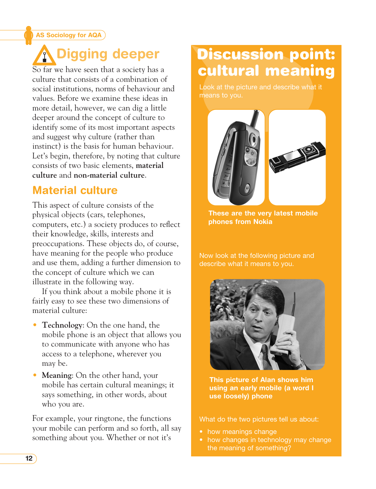# **Digging deeper**

So far we have seen that a society has a culture that consists of a combination of social institutions, norms of behaviour and values. Before we examine these ideas in more detail, however, we can dig a little deeper around the concept of culture to identify some of its most important aspects and suggest why culture (rather than instinct) is the basis for human behaviour. Let's begin, therefore, by noting that culture consists of two basic elements, **material culture** and **non-material culture**.

### **Material culture**

This aspect of culture consists of the physical objects (cars, telephones, computers, etc.) a society produces to reflect their knowledge, skills, interests and preoccupations. These objects do, of course, have meaning for the people who produce and use them, adding a further dimension to the concept of culture which we can illustrate in the following way.

If you think about a mobile phone it is fairly easy to see these two dimensions of material culture:

- **• Technology**: On the one hand, the mobile phone is an object that allows you to communicate with anyone who has access to a telephone, wherever you may be.
- **• Meaning**: On the other hand, your mobile has certain cultural meanings; it says something, in other words, about who you are.

For example, your ringtone, the functions your mobile can perform and so forth, all say something about you. Whether or not it's

## **Discussion point: cultural meaning**

Look at the picture and describe what it means to you.



**These are the very latest mobile phones from Nokia**

Now look at the following picture and describe what it means to you.



**This picture of Alan shows him using an early mobile (a word I use loosely) phone**

What do the two pictures tell us about:

- how meanings change
- how changes in technology may change the meaning of something?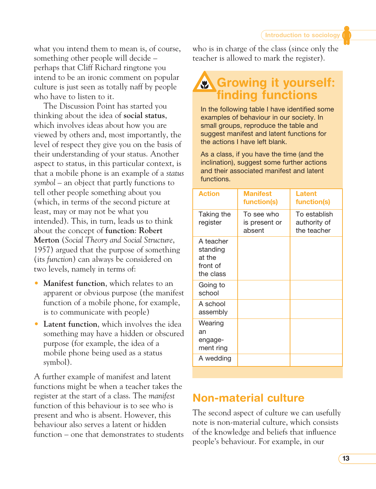what you intend them to mean is, of course, something other people will decide – perhaps that Cliff Richard ringtone you intend to be an ironic comment on popular culture is just seen as totally naff by people who have to listen to it.

The Discussion Point has started you thinking about the idea of **social status**, which involves ideas about how you are viewed by others and, most importantly, the level of respect they give you on the basis of their understanding of your status. Another aspect to status, in this particular context, is that a mobile phone is an example of a *status symbol* – an object that partly functions to tell other people something about you (which, in terms of the second picture at least, may or may not be what you intended). This, in turn, leads us to think about the concept of **function**: **Robert Merton** (*Social Theory and Social Structure*, 1957) argued that the purpose of something (its *function*) can always be considered on two levels, namely in terms of:

- **• Manifest function**, which relates to an apparent or obvious purpose (the manifest function of a mobile phone, for example, is to communicate with people)
- **• Latent function**, which involves the idea something may have a hidden or obscured purpose (for example, the idea of a mobile phone being used as a status symbol).

A further example of manifest and latent functions might be when a teacher takes the register at the start of a class. The *manifest* function of this behaviour is to see who is present and who is absent. However, this behaviour also serves a latent or hidden function – one that demonstrates to students who is in charge of the class (since only the teacher is allowed to mark the register).

## **Growing it yourself: finding functions**

In the following table I have identified some examples of behaviour in our society. In small groups, reproduce the table and suggest manifest and latent functions for the actions I have left blank.

As a class, if you have the time (and the inclination), suggest some further actions and their associated manifest and latent functions.

| <b>Action</b>                                            | <b>Manifest</b><br>function(s)        | <b>Latent</b><br>function(s)                |
|----------------------------------------------------------|---------------------------------------|---------------------------------------------|
| Taking the<br>register                                   | To see who<br>is present or<br>absent | To establish<br>authority of<br>the teacher |
| A teacher<br>standing<br>at the<br>front of<br>the class |                                       |                                             |
| Going to<br>school                                       |                                       |                                             |
| A school<br>assembly                                     |                                       |                                             |
| Wearing<br>an<br>engage-<br>ment ring                    |                                       |                                             |
| A wedding                                                |                                       |                                             |
|                                                          |                                       |                                             |

### **Non-material culture**

The second aspect of culture we can usefully note is non-material culture, which consists of the knowledge and beliefs that influence people's behaviour. For example, in our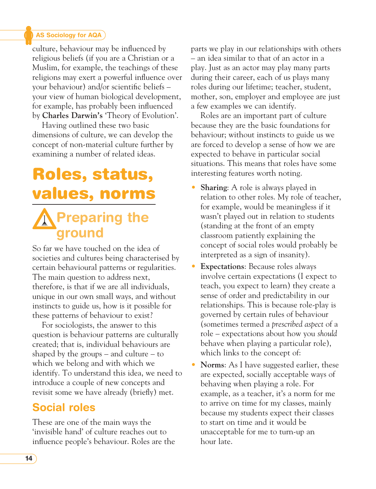culture, behaviour may be influenced by religious beliefs (if you are a Christian or a Muslim, for example, the teachings of these religions may exert a powerful influence over your behaviour) and/or scientific beliefs – your view of human biological development, for example, has probably been influenced by **Charles Darwin's** 'Theory of Evolution'.

Having outlined these two basic dimensions of culture, we can develop the concept of non-material culture further by examining a number of related ideas.

## **Roles, status, values, norms**

## **Preparing the ground**

So far we have touched on the idea of societies and cultures being characterised by certain behavioural patterns or regularities. The main question to address next, therefore, is that if we are all individuals, unique in our own small ways, and without instincts to guide us, how is it possible for these patterns of behaviour to exist?

For sociologists, the answer to this question is behaviour patterns are culturally created; that is, individual behaviours are shaped by the groups – and culture – to which we belong and with which we identify. To understand this idea, we need to introduce a couple of new concepts and revisit some we have already (briefly) met.

### **Social roles**

These are one of the main ways the 'invisible hand' of culture reaches out to influence people's behaviour. Roles are the parts we play in our relationships with others – an idea similar to that of an actor in a play. Just as an actor may play many parts during their career, each of us plays many roles during our lifetime; teacher, student, mother, son, employer and employee are just a few examples we can identify.

Roles are an important part of culture because they are the basic foundations for behaviour; without instincts to guide us we are forced to develop a sense of how we are expected to behave in particular social situations. This means that roles have some interesting features worth noting.

- **• Sharing**: A role is always played in relation to other roles. My role of teacher, for example, would be meaningless if it wasn't played out in relation to students (standing at the front of an empty classroom patiently explaining the concept of social roles would probably be interpreted as a sign of insanity).
- **• Expectations**: Because roles always involve certain expectations (I expect to teach, you expect to learn) they create a sense of order and predictability in our relationships. This is because role-play is governed by certain rules of behaviour (sometimes termed a *prescribed aspect* of a role – expectations about how you *should* behave when playing a particular role), which links to the concept of:
- **• Norms**: As I have suggested earlier, these are expected, socially acceptable ways of behaving when playing a role. For example, as a teacher, it's a norm for me to arrive on time for my classes, mainly because my students expect their classes to start on time and it would be unacceptable for me to turn-up an hour late.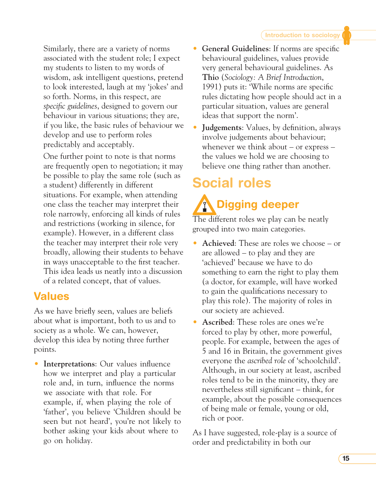Similarly, there are a variety of norms associated with the student role; I expect my students to listen to my words of wisdom, ask intelligent questions, pretend to look interested, laugh at my 'jokes' and so forth. Norms, in this respect, are *specific guidelines*, designed to govern our behaviour in various situations; they are, if you like, the basic rules of behaviour we develop and use to perform roles predictably and acceptably.

One further point to note is that norms are frequently open to negotiation; it may be possible to play the same role (such as a student) differently in different situations. For example, when attending one class the teacher may interpret their role narrowly, enforcing all kinds of rules and restrictions (working in silence, for example). However, in a different class the teacher may interpret their role very broadly, allowing their students to behave in ways unacceptable to the first teacher. This idea leads us neatly into a discussion of a related concept, that of values.

### **Values**

As we have briefly seen, values are beliefs about what is important, both to us and to society as a whole. We can, however, develop this idea by noting three further points.

**• Interpretations**: Our values influence how we interpret and play a particular role and, in turn, influence the norms we associate with that role. For example, if, when playing the role of 'father', you believe 'Children should be seen but not heard', you're not likely to bother asking your kids about where to go on holiday.

- **• General Guidelines**: If norms are specific behavioural guidelines, values provide very general behavioural guidelines. As **Thio** (*Sociology: A Brief Introduction*, 1991) puts it: 'While norms are specific rules dictating how people should act in a particular situation, values are general ideas that support the norm'.
- **• Judgements**: Values, by definition, always involve judgements about behaviour; whenever we think about – or express – the values we hold we are choosing to believe one thing rather than another.

## **Social roles**

## **Digging deeper**

The different roles we play can be neatly grouped into two main categories.

- **• Achieved**: These are roles we choose or are allowed – to play and they are 'achieved' because we have to do something to earn the right to play them (a doctor, for example, will have worked to gain the qualifications necessary to play this role). The majority of roles in our society are achieved.
- **• Ascribed**: These roles are ones we're forced to play by other, more powerful, people. For example, between the ages of 5 and 16 in Britain, the government gives everyone the *ascribed role* of 'schoolchild'. Although, in our society at least, ascribed roles tend to be in the minority, they are nevertheless still significant – think, for example, about the possible consequences of being male or female, young or old, rich or poor.

As I have suggested, role-play is a source of order and predictability in both our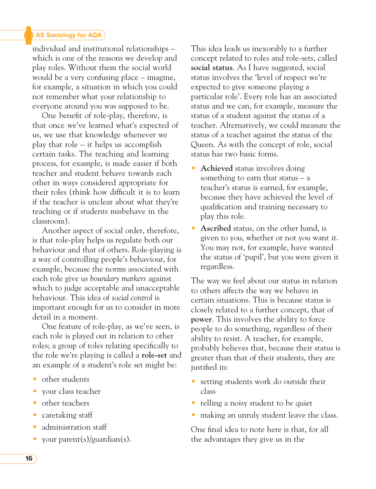individual and institutional relationships – which is one of the reasons we develop and play roles. Without them the social world would be a very confusing place – imagine, for example, a situation in which you could not remember what your relationship to everyone around you was supposed to be.

One benefit of role-play, therefore, is that once we've learned what's expected of us, we use that knowledge whenever we play that role – it helps us accomplish certain tasks. The teaching and learning process, for example, is made easier if both teacher and student behave towards each other in ways considered appropriate for their roles (think how difficult it is to learn if the teacher is unclear about what they're teaching or if students misbehave in the classroom).

Another aspect of social order, therefore, is that role-play helps us regulate both our behaviour and that of others. Role-playing is a way of controlling people's behaviour, for example, because the norms associated with each role give us *boundary markers* against which to judge acceptable and unacceptable behaviour. This idea of *social control* is important enough for us to consider in more detail in a moment.

One feature of role-play, as we've seen, is each role is played out in relation to other roles; a group of roles relating specifically to the role we're playing is called a **role-set** and an example of a student's role set might be:

- **•** other students
- **•** your class teacher
- **•** other teachers
- **•** caretaking staff
- **•** administration staff
- **•** your parent(s)/guardian(s).

This idea leads us inexorably to a further concept related to roles and role-sets, called **social status**. As I have suggested, social status involves the 'level of respect we're expected to give someone playing a particular role'. Every role has an associated status and we can, for example, measure the status of a student against the status of a teacher. Alternatively, we could measure the status of a teacher against the status of the Queen. As with the concept of role, social status has two basic forms.

- **• Achieved** status involves doing something to earn that status – a teacher's status is earned, for example, because they have achieved the level of qualification and training necessary to play this role.
- **• Ascribed** status, on the other hand, is given to you, whether or not you want it. You may not, for example, have wanted the status of 'pupil', but you were given it regardless.

The way we feel about our status in relation to others affects the way we behave in certain situations. This is because status is closely related to a further concept, that of **power**. This involves the ability to force people to do something, regardless of their ability to resist. A teacher, for example, probably believes that, because their status is greater than that of their students, they are justified in:

- **•** setting students work do outside their class
- telling a noisy student to be quiet
- making an unruly student leave the class.

One final idea to note here is that, for all the advantages they give us in the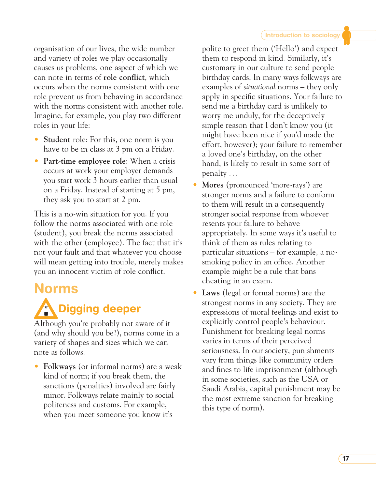organisation of our lives, the wide number and variety of roles we play occasionally causes us problems, one aspect of which we can note in terms of **role conflict**, which occurs when the norms consistent with one role prevent us from behaving in accordance with the norms consistent with another role. Imagine, for example, you play two different roles in your life:

- **• Student** role: For this, one norm is you have to be in class at 3 pm on a Friday.
- **• Part-time employee role**: When a crisis occurs at work your employer demands you start work 3 hours earlier than usual on a Friday. Instead of starting at 5 pm, they ask you to start at 2 pm.

This is a no-win situation for you. If you follow the norms associated with one role (student), you break the norms associated with the other (employee). The fact that it's not your fault and that whatever you choose will mean getting into trouble, merely makes you an innocent victim of role conflict.

### **Norms**

**Digging deeper**

Although you're probably not aware of it (and why should you be?), norms come in a variety of shapes and sizes which we can note as follows.

**• Folkways** (or informal norms) are a weak kind of norm; if you break them, the sanctions (penalties) involved are fairly minor. Folkways relate mainly to social politeness and customs. For example, when you meet someone you know it's

polite to greet them ('Hello') and expect them to respond in kind. Similarly, it's customary in our culture to send people birthday cards. In many ways folkways are examples of *situational* norms – they only apply in specific situations. Your failure to send me a birthday card is unlikely to worry me unduly, for the deceptively simple reason that I don't know you (it might have been nice if you'd made the effort, however); your failure to remember a loved one's birthday, on the other hand, is likely to result in some sort of penalty . . .

- **• Mores** (pronounced 'more-rays') are stronger norms and a failure to conform to them will result in a consequently stronger social response from whoever resents your failure to behave appropriately. In some ways it's useful to think of them as rules relating to particular situations – for example, a nosmoking policy in an office. Another example might be a rule that bans cheating in an exam.
- **• Laws** (legal or formal norms) are the strongest norms in any society. They are expressions of moral feelings and exist to explicitly control people's behaviour. Punishment for breaking legal norms varies in terms of their perceived seriousness. In our society, punishments vary from things like community orders and fines to life imprisonment (although in some societies, such as the USA or Saudi Arabia, capital punishment may be the most extreme sanction for breaking this type of norm).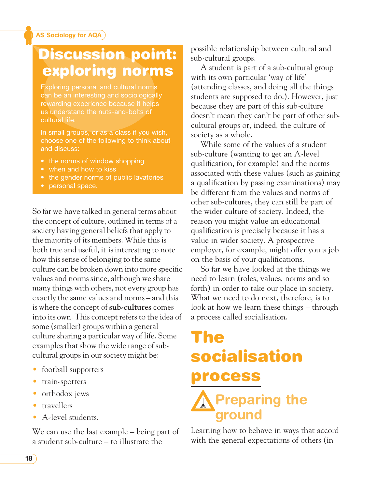## **Discussion point: exploring norms**

Exploring personal and cultural norms can be an interesting and sociologically rewarding experience because it helps us understand the nuts-and-bolts of cultural life.

In small groups, or as a class if you wish, choose one of the following to think about and discuss:

- the norms of window shopping
- when and how to kiss
- the gender norms of public lavatories
- personal space.

So far we have talked in general terms about the concept of culture, outlined in terms of a society having general beliefs that apply to the majority of its members. While this is both true and useful, it is interesting to note how this sense of belonging to the same culture can be broken down into more specific values and norms since, although we share many things with others, not every group has exactly the same values and norms – and this is where the concept of **sub-cultures** comes into its own. This concept refers to the idea of some (smaller) groups within a general culture sharing a particular way of life. Some examples that show the wide range of subcultural groups in our society might be:

- football supporters
- **•** train-spotters
- orthodox jews
- **•** travellers
- **•** A-level students.

We can use the last example – being part of a student sub-culture – to illustrate the

possible relationship between cultural and sub-cultural groups.

A student is part of a sub-cultural group with its own particular 'way of life' (attending classes, and doing all the things students are supposed to do.). However, just because they are part of this sub-culture doesn't mean they can't be part of other subcultural groups or, indeed, the culture of society as a whole.

While some of the values of a student sub-culture (wanting to get an A-level qualification, for example) and the norms associated with these values (such as gaining a qualification by passing examinations) may be different from the values and norms of other sub-cultures, they can still be part of the wider culture of society. Indeed, the reason you might value an educational qualification is precisely because it has a value in wider society. A prospective employer, for example, might offer you a job on the basis of your qualifications.

So far we have looked at the things we need to learn (roles, values, norms and so forth) in order to take our place in society. What we need to do next, therefore, is to look at how we learn these things – through a process called socialisation.

# **The socialisation process**

## **Preparing the ground**

Learning how to behave in ways that accord with the general expectations of others (in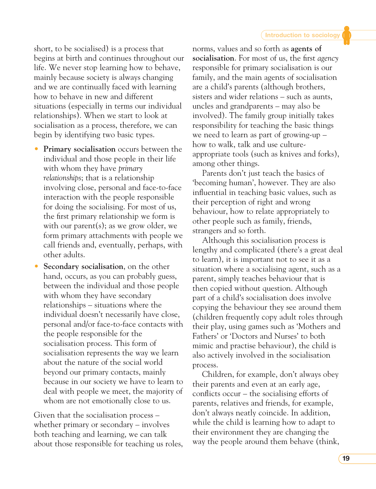short, to be socialised) is a process that begins at birth and continues throughout our life. We never stop learning how to behave, mainly because society is always changing and we are continually faced with learning how to behave in new and different situations (especially in terms our individual relationships). When we start to look at socialisation as a process, therefore, we can begin by identifying two basic types.

- **• Primary socialisation** occurs between the individual and those people in their life with whom they have *primary relationships*; that is a relationship involving close, personal and face-to-face interaction with the people responsible for doing the socialising. For most of us, the first primary relationship we form is with our parent(s); as we grow older, we form primary attachments with people we call friends and, eventually, perhaps, with other adults.
- **• Secondary socialisation**, on the other hand, occurs, as you can probably guess, between the individual and those people with whom they have secondary relationships – situations where the individual doesn't necessarily have close, personal and/or face-to-face contacts with the people responsible for the socialisation process. This form of socialisation represents the way we learn about the nature of the social world beyond our primary contacts, mainly because in our society we have to learn to deal with people we meet, the majority of whom are not emotionally close to us.

Given that the socialisation process – whether primary or secondary – involves both teaching and learning, we can talk about those responsible for teaching us roles,

norms, values and so forth as **agents of socialisation**. For most of us, the first *agency* responsible for primary socialisation is our family, and the main agents of socialisation are a child's parents (although brothers, sisters and wider relations – such as aunts, uncles and grandparents – may also be involved). The family group initially takes responsibility for teaching the basic things we need to learn as part of growing-up – how to walk, talk and use cultureappropriate tools (such as knives and forks), among other things.

Parents don't just teach the basics of 'becoming human', however. They are also influential in teaching basic values, such as their perception of right and wrong behaviour, how to relate appropriately to other people such as family, friends, strangers and so forth.

Although this socialisation process is lengthy and complicated (there's a great deal to learn), it is important not to see it as a situation where a socialising agent, such as a parent, simply teaches behaviour that is then copied without question. Although part of a child's socialisation does involve copying the behaviour they see around them (children frequently copy adult roles through their play, using games such as 'Mothers and Fathers' or 'Doctors and Nurses' to both mimic and practise behaviour), the child is also actively involved in the socialisation process.

Children, for example, don't always obey their parents and even at an early age, conflicts occur – the socialising efforts of parents, relatives and friends, for example, don't always neatly coincide. In addition, while the child is learning how to adapt to their environment they are changing the way the people around them behave (think,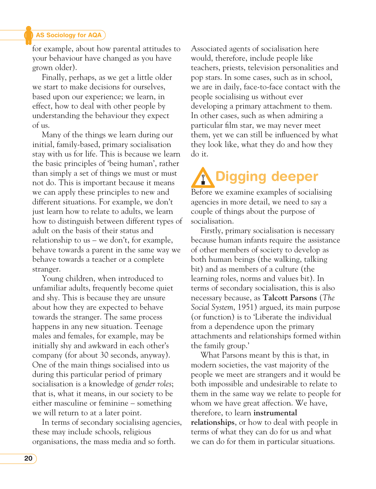for example, about how parental attitudes to your behaviour have changed as you have grown older).

Finally, perhaps, as we get a little older we start to make decisions for ourselves, based upon our experience; we learn, in effect, how to deal with other people by understanding the behaviour they expect of us.

Many of the things we learn during our initial, family-based, primary socialisation stay with us for life. This is because we learn the basic principles of 'being human', rather than simply a set of things we must or must not do. This is important because it means we can apply these principles to new and different situations. For example, we don't just learn how to relate to adults, we learn how to distinguish between different types of adult on the basis of their status and relationship to us – we don't, for example, behave towards a parent in the same way we behave towards a teacher or a complete stranger.

Young children, when introduced to unfamiliar adults, frequently become quiet and shy. This is because they are unsure about how they are expected to behave towards the stranger. The same process happens in any new situation. Teenage males and females, for example, may be initially shy and awkward in each other's company (for about 30 seconds, anyway). One of the main things socialised into us during this particular period of primary socialisation is a knowledge of *gender roles*; that is, what it means, in our society to be either masculine or feminine – something we will return to at a later point.

In terms of secondary socialising agencies, these may include schools, religious organisations, the mass media and so forth.

Associated agents of socialisation here would, therefore, include people like teachers, priests, television personalities and pop stars. In some cases, such as in school, we are in daily, face-to-face contact with the people socialising us without ever developing a primary attachment to them. In other cases, such as when admiring a particular film star, we may never meet them, yet we can still be influenced by what they look like, what they do and how they do it.

# **Digging deeper**

Before we examine examples of socialising agencies in more detail, we need to say a couple of things about the purpose of socialisation.

Firstly, primary socialisation is necessary because human infants require the assistance of other members of society to develop as both human beings (the walking, talking bit) and as members of a culture (the learning roles, norms and values bit). In terms of secondary socialisation, this is also necessary because, as **Talcott Parsons** (*The Social System*, 1951) argued, its main purpose (or function) is to 'Liberate the individual from a dependence upon the primary attachments and relationships formed within the family group.'

What Parsons meant by this is that, in modern societies, the vast majority of the people we meet are strangers and it would be both impossible and undesirable to relate to them in the same way we relate to people for whom we have great affection. We have, therefore, to learn **instrumental relationships**, or how to deal with people in terms of what they can do for us and what we can do for them in particular situations.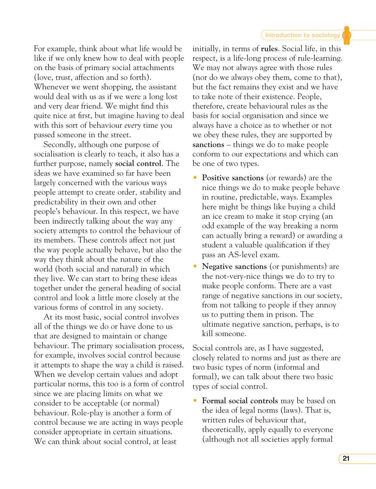For example, think about what life would be like if we only knew how to deal with people on the basis of primary social attachments (love, trust, affection and so forth). Whenever we went shopping, the assistant would deal with us as if we were a long lost and very dear friend. We might find this quite nice at first, but imagine having to deal with this sort of behaviour *every* time you passed someone in the street.

Secondly, although one purpose of socialisation is clearly to teach, it also has a further purpose, namely **social control**. The ideas we have examined so far have been largely concerned with the various ways people attempt to create order*,* stability and predictability in their own and other people's behaviour. In this respect, we have been indirectly talking about the way any society attempts to control the behaviour of its members. These controls affect not just the way people actually behave, but also the way they think about the nature of the world (both social and natural) in which they live. We can start to bring these ideas together under the general heading of social control and look a little more closely at the various forms of control in any society.

At its most basic, social control involves all of the things we do or have done to us that are designed to maintain or change behaviour. The primary socialisation process, for example, involves social control because it attempts to shape the way a child is raised. When we develop certain values and adopt particular norms, this too is a form of control since we are placing limits on what we consider to be acceptable (or normal) behaviour. Role-play is another a form of control because we are acting in ways people consider appropriate in certain situations. We can think about social control, at least

initially, in terms of **rules**. Social life, in this respect, is a life-long process of rule-learning. We may not always agree with those rules (nor do we always obey them, come to that), but the fact remains they exist and we have to take note of their existence. People, therefore, create behavioural rules as the basis for social organisation and since we always have a choice as to whether or not we obey these rules, they are supported by **sanctions** – things we do to make people conform to our expectations and which can be one of two types.

- **• Positive sanctions** (or rewards) are the nice things we do to make people behave in routine, predictable, ways. Examples here might be things like buying a child an ice cream to make it stop crying (an odd example of the way breaking a norm can actually bring a reward) or awarding a student a valuable qualification if they pass an AS-level exam.
- **• Negative sanctions** (or punishments) are the not-very-nice things we do to try to make people conform. There are a vast range of negative sanctions in our society, from not talking to people if they annoy us to putting them in prison. The ultimate negative sanction, perhaps, is to kill someone.

Social controls are, as I have suggested, closely related to norms and just as there are two basic types of norm (informal and formal), we can talk about there two basic types of social control.

**• Formal social controls** may be based on the idea of legal norms (laws). That is, written rules of behaviour that, theoretically, apply equally to everyone (although not all societies apply formal